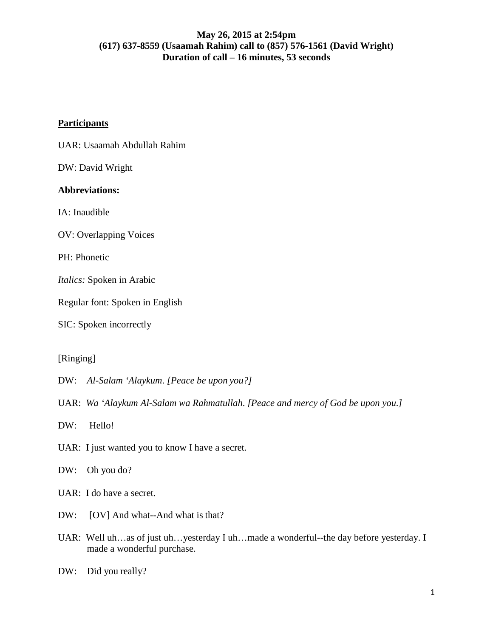# **Participants**

UAR: Usaamah Abdullah Rahim

DW: David Wright

# **Abbreviations:**

IA: Inaudible

OV: Overlapping Voices

PH: Phonetic

*Italics:* Spoken in Arabic

Regular font: Spoken in English

SIC: Spoken incorrectly

[Ringing]

DW: *Al-Salam 'Alaykum*. *[Peace be upon you?]*

UAR: *Wa 'Alaykum Al-Salam wa Rahmatullah*. *[Peace and mercy of God be upon you.]*

DW: Hello!

UAR: I just wanted you to know I have a secret.

DW: Oh you do?

UAR: I do have a secret.

- DW: [OV] And what--And what is that?
- UAR: Well uh…as of just uh…yesterday I uh…made a wonderful--the day before yesterday. I made a wonderful purchase.

DW: Did you really?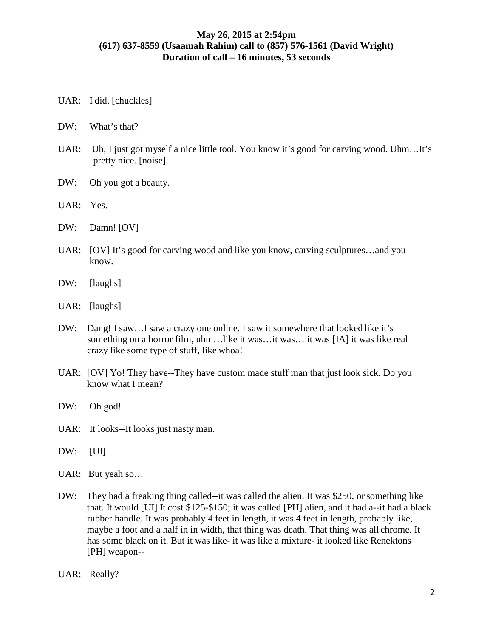- UAR: I did. [chuckles]
- DW: What's that?
- UAR: Uh, I just got myself a nice little tool. You know it's good for carving wood. Uhm…It's pretty nice. [noise]
- DW: Oh you got a beauty.
- UAR: Yes.
- DW: Damn! [OV]
- UAR: [OV] It's good for carving wood and like you know, carving sculptures…and you know.
- DW: [laughs]
- UAR: [laughs]
- DW: Dang! I saw…I saw a crazy one online. I saw it somewhere that looked like it's something on a horror film, uhm…like it was…it was… it was [IA] it was like real crazy like some type of stuff, like whoa!
- UAR: [OV] Yo! They have--They have custom made stuff man that just look sick. Do you know what I mean?
- DW: Oh god!
- UAR: It looks--It looks just nasty man.
- DW: [UI]
- UAR: But yeah so…
- DW: They had a freaking thing called--it was called the alien. It was \$250, or something like that. It would [UI] It cost \$125-\$150; it was called [PH] alien, and it had a--it had a black rubber handle. It was probably 4 feet in length, it was 4 feet in length, probably like, maybe a foot and a half in in width, that thing was death. That thing was all chrome. It has some black on it. But it was like- it was like a mixture- it looked like Renektons [PH] weapon--
- UAR: Really?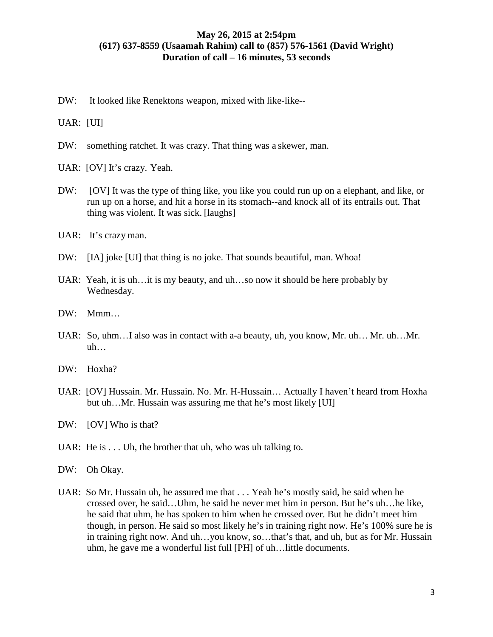DW: It looked like Renektons weapon, mixed with like-like--

UAR: [UI]

- DW: something ratchet. It was crazy. That thing was a skewer, man.
- UAR: [OV] It's crazy. Yeah.
- DW: [OV] It was the type of thing like, you like you could run up on a elephant, and like, or run up on a horse, and hit a horse in its stomach--and knock all of its entrails out. That thing was violent. It was sick. [laughs]
- UAR: It's crazy man.
- DW: [IA] joke [UI] that thing is no joke. That sounds beautiful, man. Whoa!
- UAR: Yeah, it is uh…it is my beauty, and uh…so now it should be here probably by Wednesday.
- DW: Mmm…
- UAR: So, uhm…I also was in contact with a-a beauty, uh, you know, Mr. uh… Mr. uh…Mr.  $uh...$
- DW: Hoxha?
- UAR: [OV] Hussain. Mr. Hussain. No. Mr. H-Hussain… Actually I haven't heard from Hoxha but uh…Mr. Hussain was assuring me that he's most likely [UI]
- DW: [OV] Who is that?
- UAR: He is  $\dots$  Uh, the brother that uh, who was uh talking to.
- DW: Oh Okay.
- UAR: So Mr. Hussain uh, he assured me that . . . Yeah he's mostly said, he said when he crossed over, he said…Uhm, he said he never met him in person. But he's uh…he like, he said that uhm, he has spoken to him when he crossed over. But he didn't meet him though, in person. He said so most likely he's in training right now. He's 100% sure he is in training right now. And uh…you know, so…that's that, and uh, but as for Mr. Hussain uhm, he gave me a wonderful list full [PH] of uh…little documents.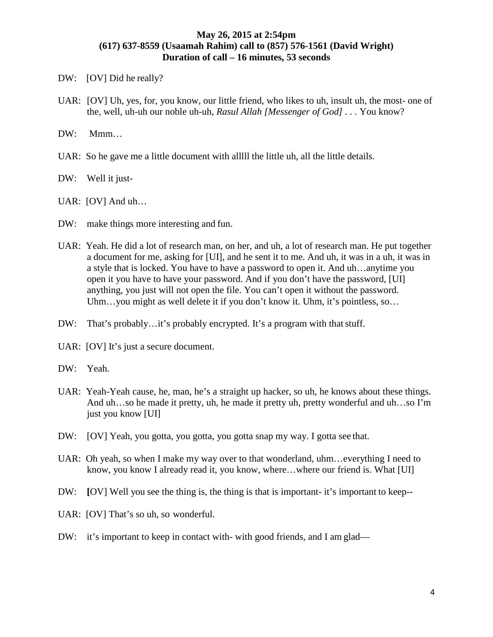- DW: [OV] Did he really?
- UAR: [OV] Uh, yes, for, you know, our little friend, who likes to uh, insult uh, the most- one of the, well, uh-uh our noble uh-uh, *Rasul Allah [Messenger of God] . . .* You know?
- DW: Mmm...
- UAR: So he gave me a little document with alllll the little uh, all the little details.
- DW: Well it just-
- UAR: [OV] And uh…
- DW: make things more interesting and fun.
- UAR: Yeah. He did a lot of research man, on her, and uh, a lot of research man. He put together a document for me, asking for [UI], and he sent it to me. And uh, it was in a uh, it was in a style that is locked. You have to have a password to open it. And uh…anytime you open it you have to have your password. And if you don't have the password, [UI] anything, you just will not open the file. You can't open it without the password. Uhm...you might as well delete it if you don't know it. Uhm, it's pointless, so...
- DW: That's probably...it's probably encrypted. It's a program with that stuff.
- UAR: [OV] It's just a secure document.
- DW: Yeah.
- UAR: Yeah-Yeah cause, he, man, he's a straight up hacker, so uh, he knows about these things. And uh…so he made it pretty, uh, he made it pretty uh, pretty wonderful and uh…so I'm just you know [UI]
- DW: [OV] Yeah, you gotta, you gotta, you gotta snap my way. I gotta see that.
- UAR: Oh yeah, so when I make my way over to that wonderland, uhm…everything I need to know, you know I already read it, you know, where...where our friend is. What [UI]
- DW: **[OV]** Well you see the thing is, the thing is that is important- it's important to keep--
- UAR: [OV] That's so uh, so wonderful.
- DW: it's important to keep in contact with- with good friends, and I am glad—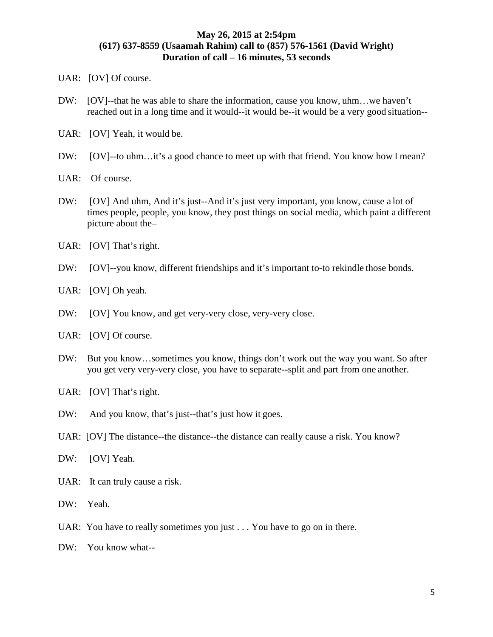UAR: [OV] Of course.

- DW: [OV]--that he was able to share the information, cause you know, uhm…we haven't reached out in a long time and it would--it would be--it would be a very good situation--
- UAR: [OV] Yeah, it would be.
- DW: [OV]--to uhm...it's a good chance to meet up with that friend. You know how I mean?
- UAR: Of course.
- DW: [OV] And uhm, And it's just--And it's just very important, you know, cause a lot of times people, people, you know, they post things on social media, which paint a different picture about the–
- UAR: [OV] That's right.
- DW: [OV]--you know, different friendships and it's important to-to rekindle those bonds.
- UAR: [OV] Oh yeah.
- DW: [OV] You know, and get very-very close, very-very close.
- UAR: [OV] Of course.
- DW: But you know…sometimes you know, things don't work out the way you want. So after you get very very-very close, you have to separate--split and part from one another.
- UAR: [OV] That's right.
- DW: And you know, that's just--that's just how it goes.
- UAR: [OV] The distance--the distance--the distance can really cause a risk. You know?
- DW: [OV] Yeah.
- UAR: It can truly cause a risk.
- DW: Yeah.
- UAR: You have to really sometimes you just . . . You have to go on in there.
- DW: You know what--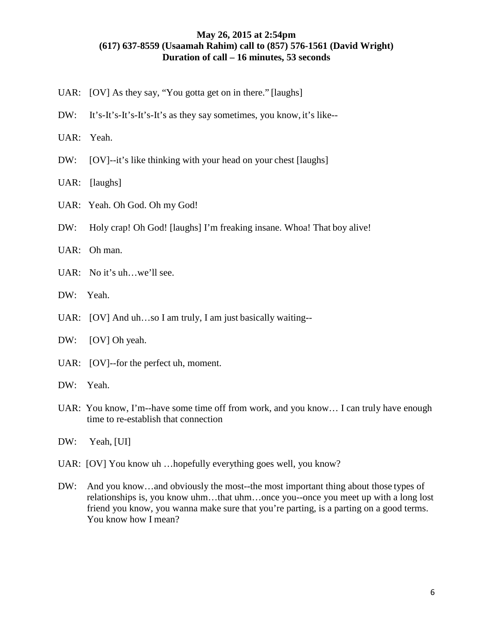- UAR: [OV] As they say, "You gotta get on in there." [laughs]
- DW: It's-It's-It's-It's-It's as they say sometimes, you know, it's like--
- UAR: Yeah.
- DW: [OV]--it's like thinking with your head on your chest [laughs]
- UAR: [laughs]
- UAR: Yeah. Oh God. Oh my God!
- DW: Holy crap! Oh God! [laughs] I'm freaking insane. Whoa! That boy alive!
- UAR: Oh man.
- UAR: No it's uh...we'll see.
- DW: Yeah.
- UAR: [OV] And uh…so I am truly, I am just basically waiting--
- DW: [OV] Oh yeah.
- UAR: [OV]--for the perfect uh, moment.
- DW: Yeah.
- UAR: You know, I'm--have some time off from work, and you know… I can truly have enough time to re-establish that connection
- DW: Yeah, [UI]
- UAR: [OV] You know uh …hopefully everything goes well, you know?
- DW: And you know…and obviously the most--the most important thing about those types of relationships is, you know uhm…that uhm…once you--once you meet up with a long lost friend you know, you wanna make sure that you're parting, is a parting on a good terms. You know how I mean?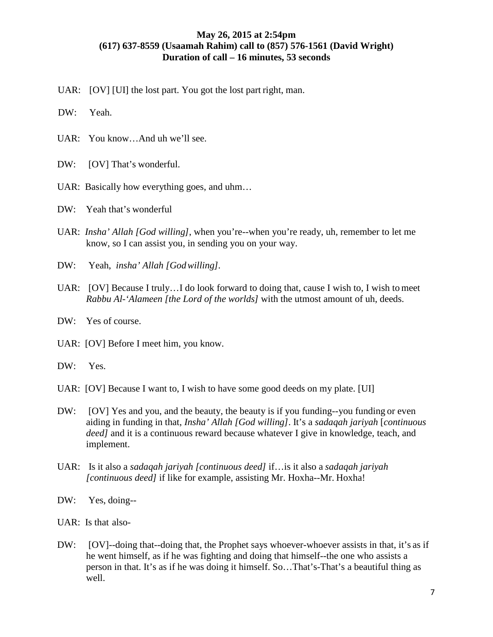UAR: [OV] [UI] the lost part. You got the lost part right, man.

DW: Yeah.

- UAR: You know…And uh we'll see.
- DW: [OV] That's wonderful.
- UAR: Basically how everything goes, and uhm...

DW: Yeah that's wonderful

- UAR: *Insha' Allah [God willing]*, when you're--when you're ready, uh, remember to let me know, so I can assist you, in sending you on your way.
- DW: Yeah, *insha' Allah [Godwilling].*
- UAR: [OV] Because I truly…I do look forward to doing that, cause I wish to, I wish to meet *Rabbu Al-'Alameen [the Lord of the worlds]* with the utmost amount of uh, deeds.
- DW: Yes of course.
- UAR: [OV] Before I meet him, you know.
- DW: Yes.
- UAR: [OV] Because I want to, I wish to have some good deeds on my plate. [UI]
- DW: [OV] Yes and you, and the beauty, the beauty is if you funding--you funding or even aiding in funding in that, *Insha' Allah [God willing]*. It's a *sadaqah jariyah* [*continuous deed]* and it is a continuous reward because whatever I give in knowledge, teach, and implement.
- UAR: Is it also a *sadaqah jariyah [continuous deed]* if…is it also a *sadaqah jariyah [continuous deed]* if like for example, assisting Mr. Hoxha--Mr. Hoxha!
- DW: Yes, doing--
- UAR: Is that also-
- DW: [OV]--doing that--doing that, the Prophet says whoever-whoever assists in that, it's as if he went himself, as if he was fighting and doing that himself--the one who assists a person in that. It's as if he was doing it himself. So…That's-That's a beautiful thing as well.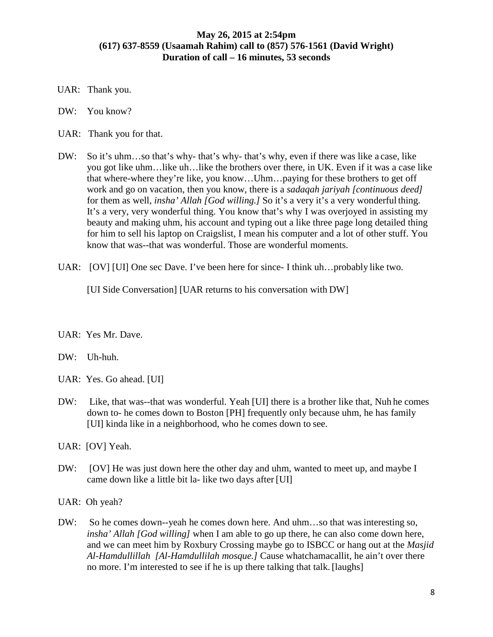- UAR: Thank you.
- DW: You know?
- UAR: Thank you for that.
- DW: So it's uhm...so that's why- that's why- that's why, even if there was like a case, like you got like uhm…like uh…like the brothers over there, in UK. Even if it was a case like that where-where they're like, you know…Uhm…paying for these brothers to get off work and go on vacation, then you know, there is a *sadaqah jariyah [continuous deed]*  for them as well, *insha' Allah [God willing.]* So it's a very it's a very wonderful thing. It's a very, very wonderful thing. You know that's why I was overjoyed in assisting my beauty and making uhm, his account and typing out a like three page long detailed thing for him to sell his laptop on Craigslist, I mean his computer and a lot of other stuff. You know that was--that was wonderful. Those are wonderful moments.
- UAR: [OV] [UI] One sec Dave. I've been here for since- I think uh...probably like two.

[UI Side Conversation] [UAR returns to his conversation with DW]

UAR: Yes Mr. Dave.

#### DW: Uh-huh.

- UAR: Yes. Go ahead. [UI]
- DW: Like, that was--that was wonderful. Yeah [UI] there is a brother like that, Nuh he comes down to- he comes down to Boston [PH] frequently only because uhm, he has family [UI] kinda like in a neighborhood, who he comes down to see.
- UAR: [OV] Yeah.
- DW: [OV] He was just down here the other day and uhm, wanted to meet up, and maybe I came down like a little bit la- like two days after [UI]
- UAR: Oh yeah?
- DW: So he comes down--yeah he comes down here. And uhm...so that was interesting so, *insha' Allah [God willing]* when I am able to go up there, he can also come down here, and we can meet him by Roxbury Crossing maybe go to ISBCC or hang out at the *Masjid Al-Hamdullillah [Al-Hamdullilah mosque.]* Cause whatchamacallit, he ain't over there no more. I'm interested to see if he is up there talking that talk. [laughs]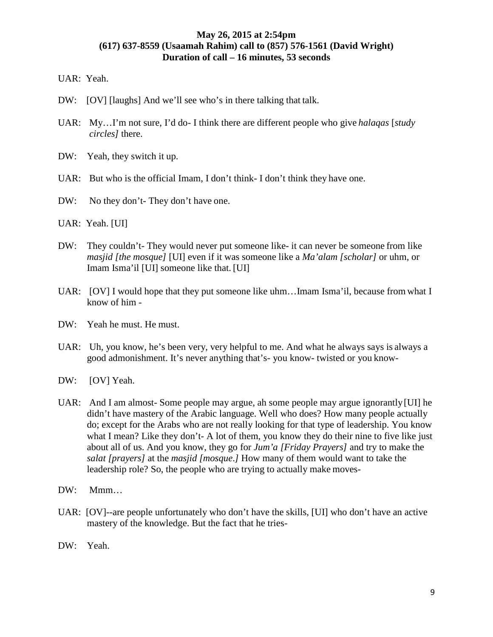UAR: Yeah.

- DW: [OV] [laughs] And we'll see who's in there talking that talk.
- UAR: My…I'm not sure, I'd do- I think there are different people who give *halaqas* [*study circles]* there.
- DW: Yeah, they switch it up.
- UAR: But who is the official Imam, I don't think- I don't think they have one.
- DW: No they don't- They don't have one.
- UAR: Yeah. [UI]
- DW: They couldn't- They would never put someone like- it can never be someone from like *masjid [the mosque]* [UI] even if it was someone like a *Ma'alam [scholar]* or uhm, or Imam Isma'il [UI] someone like that. [UI]
- UAR: [OV] I would hope that they put someone like uhm...Imam Isma'il, because from what I know of him -
- DW: Yeah he must. He must.
- UAR: Uh, you know, he's been very, very helpful to me. And what he always says is always a good admonishment. It's never anything that's- you know- twisted or you know-
- DW: [OV] Yeah.
- UAR: And I am almost- Some people may argue, ah some people may argue ignorantly[UI] he didn't have mastery of the Arabic language. Well who does? How many people actually do; except for the Arabs who are not really looking for that type of leadership. You know what I mean? Like they don't- A lot of them, you know they do their nine to five like just about all of us. And you know, they go for *Jum'a [Friday Prayers]* and try to make the *salat [prayers]* at the *masjid [mosque*.*]* How many of them would want to take the leadership role? So, the people who are trying to actually make moves-
- DW: Mmm…
- UAR: [OV]--are people unfortunately who don't have the skills, [UI] who don't have an active mastery of the knowledge. But the fact that he tries-
- DW: Yeah.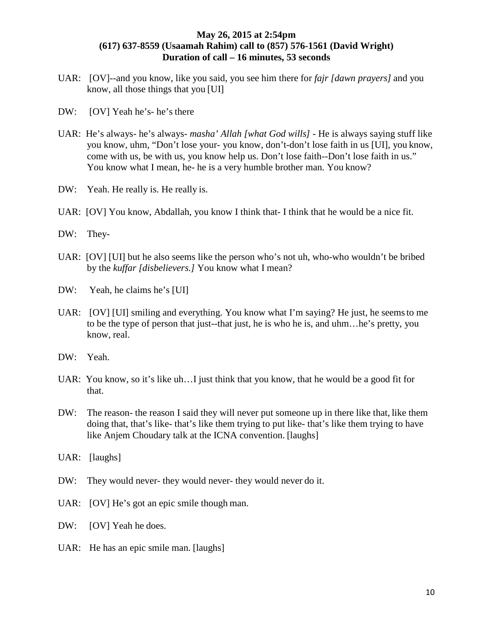- UAR: [OV]--and you know, like you said, you see him there for *fajr [dawn prayers]* and you know, all those things that you [UI]
- DW: [OV] Yeah he's- he's there
- UAR: He's always- he's always- *masha' Allah [what God wills]*  He is always saying stuff like you know, uhm, "Don't lose your- you know, don't-don't lose faith in us [UI], you know, come with us, be with us, you know help us. Don't lose faith--Don't lose faith in us." You know what I mean, he- he is a very humble brother man. You know?
- DW: Yeah. He really is. He really is.
- UAR: [OV] You know, Abdallah, you know I think that- I think that he would be a nice fit.
- DW: They-
- UAR: [OV] [UI] but he also seems like the person who's not uh, who-who wouldn't be bribed by the *kuffar [disbelievers.]* You know what I mean?
- DW: Yeah, he claims he's [UI]
- UAR: [OV] [UI] smiling and everything. You know what I'm saying? He just, he seemsto me to be the type of person that just--that just, he is who he is, and uhm…he's pretty, you know, real.
- DW: Yeah.
- UAR: You know, so it's like uh…I just think that you know, that he would be a good fit for that.
- DW: The reason- the reason I said they will never put someone up in there like that, like them doing that, that's like- that's like them trying to put like- that's like them trying to have like Anjem Choudary talk at the ICNA convention. [laughs]
- UAR: [laughs]
- DW: They would never- they would never- they would never do it.
- UAR: [OV] He's got an epic smile though man.
- DW: [OV] Yeah he does.
- UAR: He has an epic smile man. [laughs]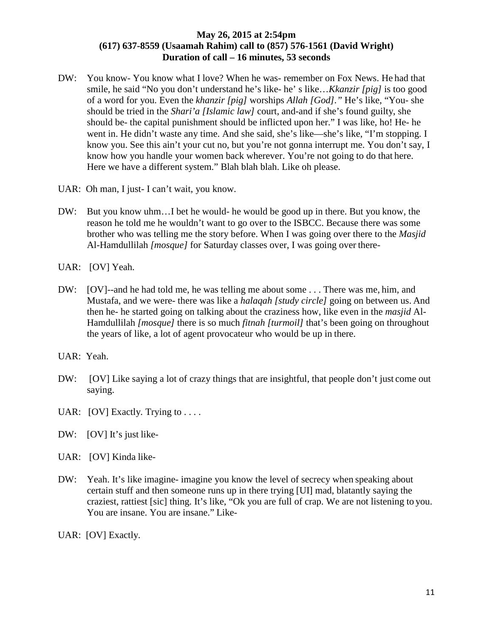- DW: You know-You know what I love? When he was- remember on Fox News. He had that smile, he said "No you don't understand he's like- he' s like…*Kkanzir [pig]* is too good of a word for you. Even the *khanzir [pig]* worships *Allah [God]."* He's like, "You- she should be tried in the *Shari'a [Islamic law]* court, and-and if she's found guilty, she should be- the capital punishment should be inflicted upon her." I was like, ho! He- he went in. He didn't waste any time. And she said, she's like—she's like, "I'm stopping. I know you. See this ain't your cut no, but you're not gonna interrupt me. You don't say, I know how you handle your women back wherever. You're not going to do that here. Here we have a different system." Blah blah blah. Like oh please.
- UAR: Oh man, I just- I can't wait, you know.
- DW: But you know uhm…I bet he would- he would be good up in there. But you know, the reason he told me he wouldn't want to go over to the ISBCC. Because there was some brother who was telling me the story before. When I was going over there to the *Masjid*  Al-Hamdullilah *[mosque]* for Saturday classes over, I was going over there-
- UAR: [OV] Yeah.
- DW: [OV]--and he had told me, he was telling me about some . . . There was me, him, and Mustafa, and we were- there was like a *halaqah [study circle]* going on between us. And then he- he started going on talking about the craziness how, like even in the *masjid* Al-Hamdullilah *[mosque]* there is so much *fitnah [turmoil]* that's been going on throughout the years of like, a lot of agent provocateur who would be up in there.
- UAR: Yeah.
- DW: [OV] Like saying a lot of crazy things that are insightful, that people don't just come out saying.
- UAR: [OV] Exactly. Trying to  $\dots$ .
- DW: [OV] It's just like-
- UAR: [OV] Kinda like-
- DW: Yeah. It's like imagine- imagine you know the level of secrecy when speaking about certain stuff and then someone runs up in there trying [UI] mad, blatantly saying the craziest, rattiest [sic] thing. It's like, "Ok you are full of crap. We are not listening to you. You are insane. You are insane." Like-
- UAR: [OV] Exactly.